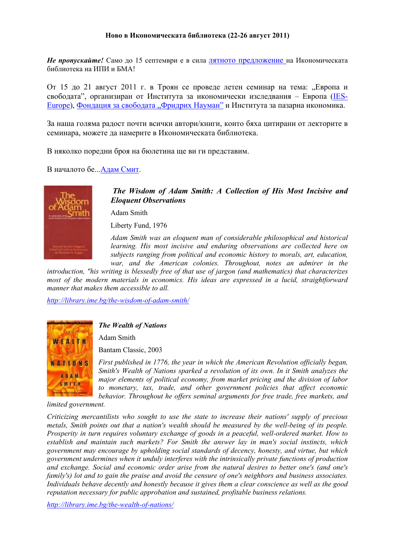## **Ново в Икономическата библиотека (22-26 август 2011)**

*Не пропускайте!* Само до 15 септември е в сила лятното [предложение](http://www.youtube.com/user/IME1993#p/a/u/0/Yi334ASBI-Y) на Икономическата библиотека на ИПИ и БМА!

От 15 до 21 август 2011 г. в Троян се проведе летен семинар на тема: "Европа и свободата", организиран от Института за икономически изследвания - Европа [\(IES-](http://www.ies-europe.org/index.php)[Europe\)](http://www.ies-europe.org/index.php), [Фондация](http://www.visit.fnst.org/Central-East-and-Southeast-Europe/1297c14274i990/index.html) за свободата "Фридрих Науман" и Института за пазарна икономика.

За наша голяма радост почти всички автори/книги, които бяха цитирани от лекторите в семинара, можете да намерите в Икономическата библиотека.

В няколко поредни броя на бюлетина ще ви ги представим.

В началото бе...[Адам](http://library.ime.bg/authors/adam-smith-) Смит.



*The Wisdom of Adam Smith: A Collection of His Most Incisive and Eloquent Observations*

Adam Smith

Liberty Fund, 1976

*Adam Smith was an eloquent man of considerable philosophical and historical learning. His most incisive and enduring observations are collected here on subjects ranging from political and economic history to morals, art, education, war, and the American colonies. Throughout, notes an admirer in the* 

*introduction, "his writing is blessedly free of that use of jargon (and mathematics) that characterizes most of the modern materials in economics. His ideas are expressed in a lucid, straightforward manner that makes them accessible to all.* 

*<http://library.ime.bg/the-wisdom-of-adam-smith/>*



## *The Wealth of Nations*

Adam Smith

Bantam Classic, 2003

*First published in 1776, the year in which the American Revolution officially began, Smith's Wealth of Nations sparked a revolution of its own. In it Smith analyzes the major elements of political economy, from market pricing and the division of labor to monetary, tax, trade, and other government policies that affect economic behavior. Throughout he offers seminal arguments for free trade, free markets, and* 

*limited government.* 

*Criticizing mercantilists who sought to use the state to increase their nations' supply of precious metals, Smith points out that a nation's wealth should be measured by the well-being of its people. Prosperity in turn requires voluntary exchange of goods in a peaceful, well-ordered market. How to establish and maintain such markets? For Smith the answer lay in man's social instincts, which government may encourage by upholding social standards of decency, honesty, and virtue, but which government undermines when it unduly interferes with the intrinsically private functions of production and exchange. Social and economic order arise from the natural desires to better one's (and one's family's) lot and to gain the praise and avoid the censure of one's neighbors and business associates. Individuals behave decently and honestly because it gives them a clear conscience as well as the good reputation necessary for public approbation and sustained, profitable business relations.* 

*<http://library.ime.bg/the-wealth-of-nations/>*